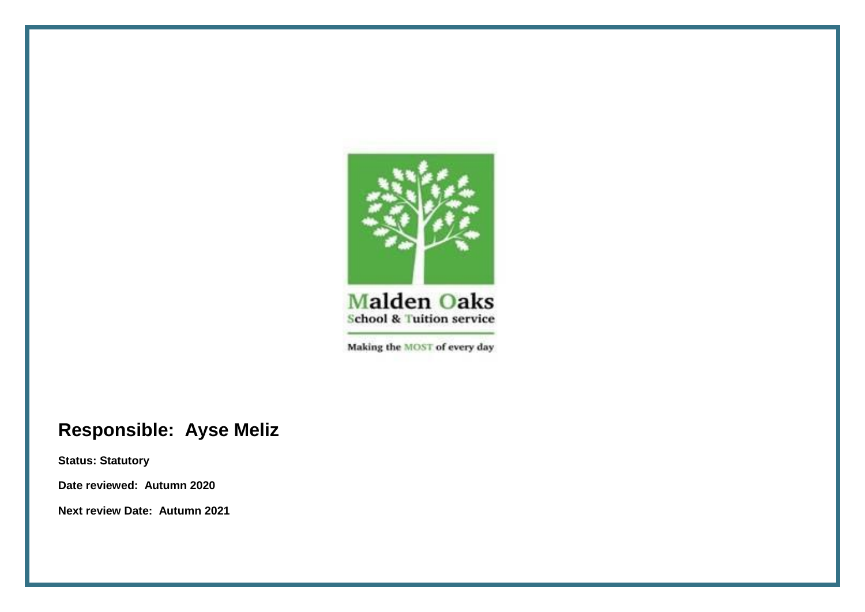

Making the MOST of every day

## **Responsible: Ayse Meliz**

**Status: Statutory**

**Date reviewed: Autumn 2020**

**Next review Date: Autumn 2021**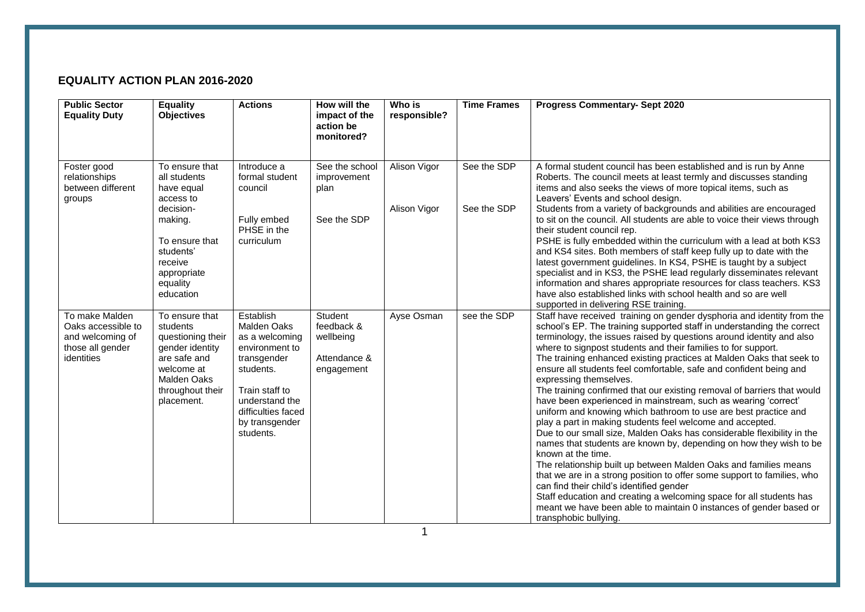## **EQUALITY ACTION PLAN 2016-2020**

| <b>Public Sector</b><br><b>Equality Duty</b>                                               | <b>Equality</b><br><b>Objectives</b>                                                                                                                                | <b>Actions</b>                                                                                                                                                                           | How will the<br>impact of the<br>action be<br>monitored?         | Who is<br>responsible?       | <b>Time Frames</b>         | <b>Progress Commentary- Sept 2020</b>                                                                                                                                                                                                                                                                                                                                                                                                                                                                                                                                                                                                                                                                                                                                                                                                                                                                                                                                                                                                                                                                                                                                                                                                                                                 |
|--------------------------------------------------------------------------------------------|---------------------------------------------------------------------------------------------------------------------------------------------------------------------|------------------------------------------------------------------------------------------------------------------------------------------------------------------------------------------|------------------------------------------------------------------|------------------------------|----------------------------|---------------------------------------------------------------------------------------------------------------------------------------------------------------------------------------------------------------------------------------------------------------------------------------------------------------------------------------------------------------------------------------------------------------------------------------------------------------------------------------------------------------------------------------------------------------------------------------------------------------------------------------------------------------------------------------------------------------------------------------------------------------------------------------------------------------------------------------------------------------------------------------------------------------------------------------------------------------------------------------------------------------------------------------------------------------------------------------------------------------------------------------------------------------------------------------------------------------------------------------------------------------------------------------|
| Foster good<br>relationships<br>between different<br>groups                                | To ensure that<br>all students<br>have equal<br>access to<br>decision-<br>making.<br>To ensure that<br>students'<br>receive<br>appropriate<br>equality<br>education | Introduce a<br>formal student<br>council<br>Fully embed<br>PHSE in the<br>curriculum                                                                                                     | See the school<br>improvement<br>plan<br>See the SDP             | Alison Vigor<br>Alison Vigor | See the SDP<br>See the SDP | A formal student council has been established and is run by Anne<br>Roberts. The council meets at least termly and discusses standing<br>items and also seeks the views of more topical items, such as<br>Leavers' Events and school design.<br>Students from a variety of backgrounds and abilities are encouraged<br>to sit on the council. All students are able to voice their views through<br>their student council rep.<br>PSHE is fully embedded within the curriculum with a lead at both KS3<br>and KS4 sites. Both members of staff keep fully up to date with the<br>latest government guidelines. In KS4, PSHE is taught by a subject<br>specialist and in KS3, the PSHE lead regularly disseminates relevant<br>information and shares appropriate resources for class teachers. KS3<br>have also established links with school health and so are well<br>supported in delivering RSE training.                                                                                                                                                                                                                                                                                                                                                                         |
| To make Malden<br>Oaks accessible to<br>and welcoming of<br>those all gender<br>identities | To ensure that<br>students<br>questioning their<br>gender identity<br>are safe and<br>welcome at<br><b>Malden Oaks</b><br>throughout their<br>placement.            | Establish<br><b>Malden Oaks</b><br>as a welcoming<br>environment to<br>transgender<br>students.<br>Train staff to<br>understand the<br>difficulties faced<br>by transgender<br>students. | Student<br>feedback &<br>wellbeing<br>Attendance &<br>engagement | Ayse Osman                   | see the SDP                | Staff have received training on gender dysphoria and identity from the<br>school's EP. The training supported staff in understanding the correct<br>terminology, the issues raised by questions around identity and also<br>where to signpost students and their families to for support.<br>The training enhanced existing practices at Malden Oaks that seek to<br>ensure all students feel comfortable, safe and confident being and<br>expressing themselves.<br>The training confirmed that our existing removal of barriers that would<br>have been experienced in mainstream, such as wearing 'correct'<br>uniform and knowing which bathroom to use are best practice and<br>play a part in making students feel welcome and accepted.<br>Due to our small size, Malden Oaks has considerable flexibility in the<br>names that students are known by, depending on how they wish to be<br>known at the time.<br>The relationship built up between Malden Oaks and families means<br>that we are in a strong position to offer some support to families, who<br>can find their child's identified gender<br>Staff education and creating a welcoming space for all students has<br>meant we have been able to maintain 0 instances of gender based or<br>transphobic bullying. |

1